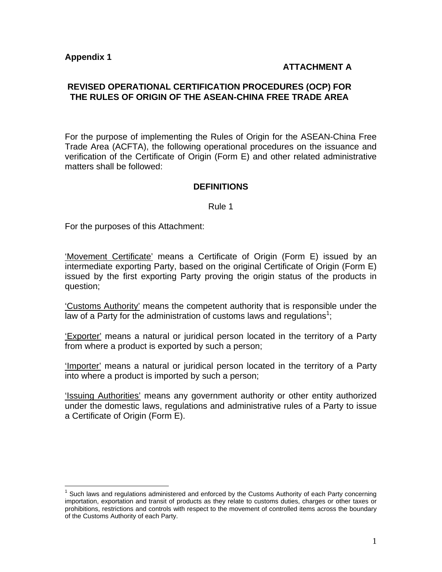$\overline{a}$ 

## **ATTACHMENT A**

## **REVISED OPERATIONAL CERTIFICATION PROCEDURES (OCP) FOR THE RULES OF ORIGIN OF THE ASEAN-CHINA FREE TRADE AREA**

For the purpose of implementing the Rules of Origin for the ASEAN-China Free Trade Area (ACFTA), the following operational procedures on the issuance and verification of the Certificate of Origin (Form E) and other related administrative matters shall be followed:

### **DEFINITIONS**

#### Rule 1

For the purposes of this Attachment:

'Movement Certificate' means a Certificate of Origin (Form E) issued by an intermediate exporting Party, based on the original Certificate of Origin (Form E) issued by the first exporting Party proving the origin status of the products in question;

'Customs Authority' means the competent authority that is responsible under the law of a Party for the administration of customs laws and regulations<sup>1</sup>;

'Exporter' means a natural or juridical person located in the territory of a Party from where a product is exported by such a person;

'Importer' means a natural or juridical person located in the territory of a Party into where a product is imported by such a person;

'Issuing Authorities' means any government authority or other entity authorized under the domestic laws, regulations and administrative rules of a Party to issue a Certificate of Origin (Form E).

 $1$  Such laws and regulations administered and enforced by the Customs Authority of each Party concerning importation, exportation and transit of products as they relate to customs duties, charges or other taxes or prohibitions, restrictions and controls with respect to the movement of controlled items across the boundary of the Customs Authority of each Party.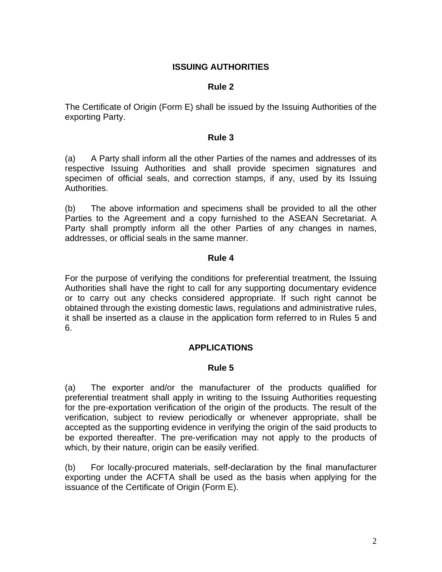# **ISSUING AUTHORITIES**

### **Rule 2**

The Certificate of Origin (Form E) shall be issued by the Issuing Authorities of the exporting Party.

#### **Rule 3**

(a) A Party shall inform all the other Parties of the names and addresses of its respective Issuing Authorities and shall provide specimen signatures and specimen of official seals, and correction stamps, if any, used by its Issuing Authorities.

(b) The above information and specimens shall be provided to all the other Parties to the Agreement and a copy furnished to the ASEAN Secretariat. A Party shall promptly inform all the other Parties of any changes in names, addresses, or official seals in the same manner.

### **Rule 4**

For the purpose of verifying the conditions for preferential treatment, the Issuing Authorities shall have the right to call for any supporting documentary evidence or to carry out any checks considered appropriate. If such right cannot be obtained through the existing domestic laws, regulations and administrative rules, it shall be inserted as a clause in the application form referred to in Rules 5 and 6.

## **APPLICATIONS**

#### **Rule 5**

(a) The exporter and/or the manufacturer of the products qualified for preferential treatment shall apply in writing to the Issuing Authorities requesting for the pre-exportation verification of the origin of the products. The result of the verification, subject to review periodically or whenever appropriate, shall be accepted as the supporting evidence in verifying the origin of the said products to be exported thereafter. The pre-verification may not apply to the products of which, by their nature, origin can be easily verified.

(b) For locally-procured materials, self-declaration by the final manufacturer exporting under the ACFTA shall be used as the basis when applying for the issuance of the Certificate of Origin (Form E).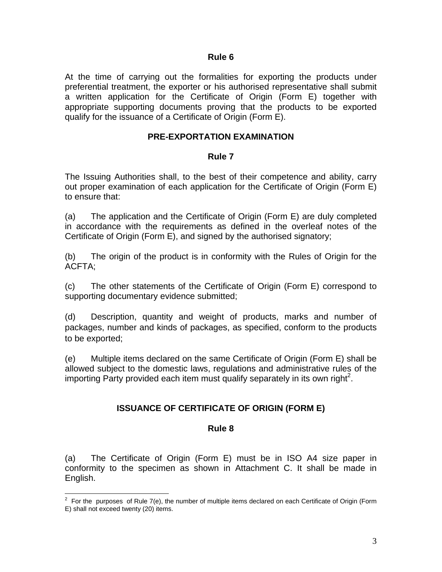At the time of carrying out the formalities for exporting the products under preferential treatment, the exporter or his authorised representative shall submit a written application for the Certificate of Origin (Form E) together with appropriate supporting documents proving that the products to be exported qualify for the issuance of a Certificate of Origin (Form E).

## **PRE-EXPORTATION EXAMINATION**

### **Rule 7**

The Issuing Authorities shall, to the best of their competence and ability, carry out proper examination of each application for the Certificate of Origin (Form E) to ensure that:

(a) The application and the Certificate of Origin (Form E) are duly completed in accordance with the requirements as defined in the overleaf notes of the Certificate of Origin (Form E), and signed by the authorised signatory;

(b) The origin of the product is in conformity with the Rules of Origin for the ACFTA;

(c) The other statements of the Certificate of Origin (Form E) correspond to supporting documentary evidence submitted;

(d) Description, quantity and weight of products, marks and number of packages, number and kinds of packages, as specified, conform to the products to be exported;

(e) Multiple items declared on the same Certificate of Origin (Form E) shall be allowed subject to the domestic laws, regulations and administrative rules of the importing Party provided each item must qualify separately in its own right<sup>2</sup>.

## **ISSUANCE OF CERTIFICATE OF ORIGIN (FORM E)**

#### **Rule 8**

(a) The Certificate of Origin (Form E) must be in ISO A4 size paper in conformity to the specimen as shown in Attachment C. It shall be made in English.

 2 For the purposes of Rule 7(e), the number of multiple items declared on each Certificate of Origin (Form E) shall not exceed twenty (20) items.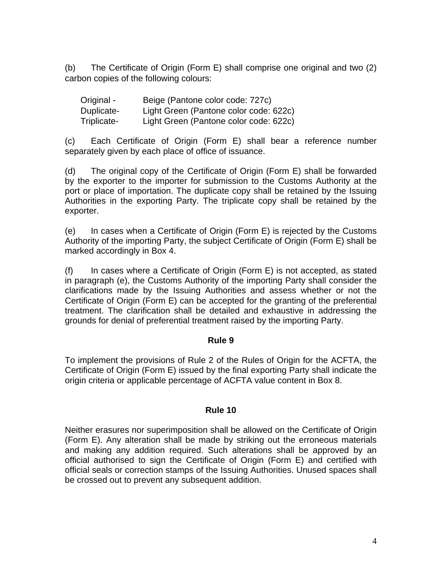(b) The Certificate of Origin (Form E) shall comprise one original and two (2) carbon copies of the following colours:

| Original -  | Beige (Pantone color code: 727c)       |
|-------------|----------------------------------------|
| Duplicate-  | Light Green (Pantone color code: 622c) |
| Triplicate- | Light Green (Pantone color code: 622c) |

(c) Each Certificate of Origin (Form E) shall bear a reference number separately given by each place of office of issuance.

(d) The original copy of the Certificate of Origin (Form E) shall be forwarded by the exporter to the importer for submission to the Customs Authority at the port or place of importation. The duplicate copy shall be retained by the Issuing Authorities in the exporting Party. The triplicate copy shall be retained by the exporter.

(e) In cases when a Certificate of Origin (Form E) is rejected by the Customs Authority of the importing Party, the subject Certificate of Origin (Form E) shall be marked accordingly in Box 4.

(f) In cases where a Certificate of Origin (Form E) is not accepted, as stated in paragraph (e), the Customs Authority of the importing Party shall consider the clarifications made by the Issuing Authorities and assess whether or not the Certificate of Origin (Form E) can be accepted for the granting of the preferential treatment. The clarification shall be detailed and exhaustive in addressing the grounds for denial of preferential treatment raised by the importing Party.

## **Rule 9**

To implement the provisions of Rule 2 of the Rules of Origin for the ACFTA, the Certificate of Origin (Form E) issued by the final exporting Party shall indicate the origin criteria or applicable percentage of ACFTA value content in Box 8.

## **Rule 10**

Neither erasures nor superimposition shall be allowed on the Certificate of Origin (Form E). Any alteration shall be made by striking out the erroneous materials and making any addition required. Such alterations shall be approved by an official authorised to sign the Certificate of Origin (Form E) and certified with official seals or correction stamps of the Issuing Authorities. Unused spaces shall be crossed out to prevent any subsequent addition.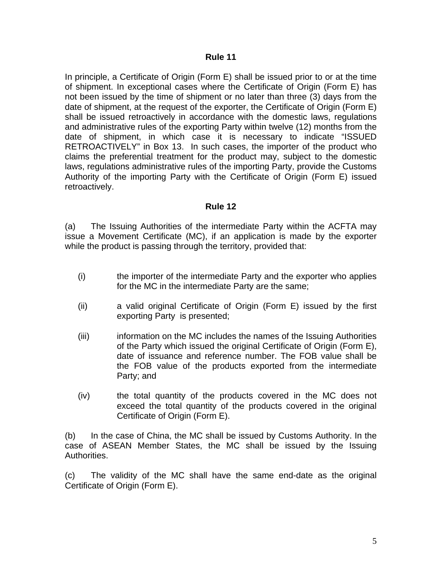In principle, a Certificate of Origin (Form E) shall be issued prior to or at the time of shipment. In exceptional cases where the Certificate of Origin (Form E) has not been issued by the time of shipment or no later than three (3) days from the date of shipment, at the request of the exporter, the Certificate of Origin (Form E) shall be issued retroactively in accordance with the domestic laws, regulations and administrative rules of the exporting Party within twelve (12) months from the date of shipment, in which case it is necessary to indicate "ISSUED RETROACTIVELY" in Box 13. In such cases, the importer of the product who claims the preferential treatment for the product may, subject to the domestic laws, regulations administrative rules of the importing Party, provide the Customs Authority of the importing Party with the Certificate of Origin (Form E) issued retroactively.

### **Rule 12**

(a) The Issuing Authorities of the intermediate Party within the ACFTA may issue a Movement Certificate (MC), if an application is made by the exporter while the product is passing through the territory, provided that:

- (i) the importer of the intermediate Party and the exporter who applies for the MC in the intermediate Party are the same;
- (ii) a valid original Certificate of Origin (Form E) issued by the first exporting Party is presented;
- (iii) information on the MC includes the names of the Issuing Authorities of the Party which issued the original Certificate of Origin (Form E), date of issuance and reference number. The FOB value shall be the FOB value of the products exported from the intermediate Party; and
- (iv) the total quantity of the products covered in the MC does not exceed the total quantity of the products covered in the original Certificate of Origin (Form E).

(b) In the case of China, the MC shall be issued by Customs Authority. In the case of ASEAN Member States, the MC shall be issued by the Issuing Authorities.

(c)The validity of the MC shall have the same end-date as the original Certificate of Origin (Form E).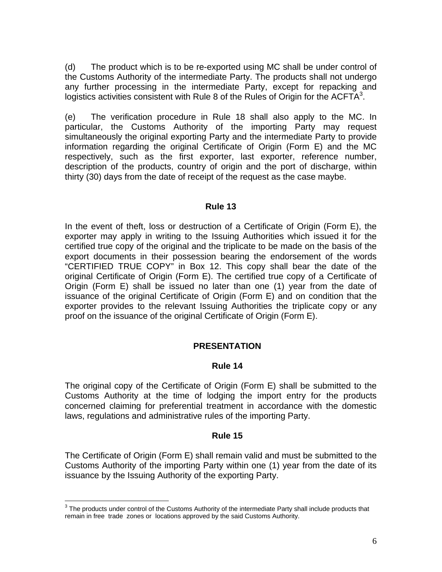(d) The product which is to be re-exported using MC shall be under control of the Customs Authority of the intermediate Party. The products shall not undergo any further processing in the intermediate Party, except for repacking and logistics activities consistent with Rule 8 of the Rules of Origin for the ACFTA $3$ .

(e) The verification procedure in Rule 18 shall also apply to the MC. In particular, the Customs Authority of the importing Party may request simultaneously the original exporting Party and the intermediate Party to provide information regarding the original Certificate of Origin (Form E) and the MC respectively, such as the first exporter, last exporter, reference number, description of the products, country of origin and the port of discharge, within thirty (30) days from the date of receipt of the request as the case maybe.

### **Rule 13**

In the event of theft, loss or destruction of a Certificate of Origin (Form E), the exporter may apply in writing to the Issuing Authorities which issued it for the certified true copy of the original and the triplicate to be made on the basis of the export documents in their possession bearing the endorsement of the words "CERTIFIED TRUE COPY" in Box 12. This copy shall bear the date of the original Certificate of Origin (Form E). The certified true copy of a Certificate of Origin (Form E) shall be issued no later than one (1) year from the date of issuance of the original Certificate of Origin (Form E) and on condition that the exporter provides to the relevant Issuing Authorities the triplicate copy or any proof on the issuance of the original Certificate of Origin (Form E).

## **PRESENTATION**

## **Rule 14**

The original copy of the Certificate of Origin (Form E) shall be submitted to the Customs Authority at the time of lodging the import entry for the products concerned claiming for preferential treatment in accordance with the domestic laws, regulations and administrative rules of the importing Party.

## **Rule 15**

The Certificate of Origin (Form E) shall remain valid and must be submitted to the Customs Authority of the importing Party within one (1) year from the date of its issuance by the Issuing Authority of the exporting Party.

 3 The products under control of the Customs Authority of the intermediate Party shall include products that remain in free trade zones or locations approved by the said Customs Authority.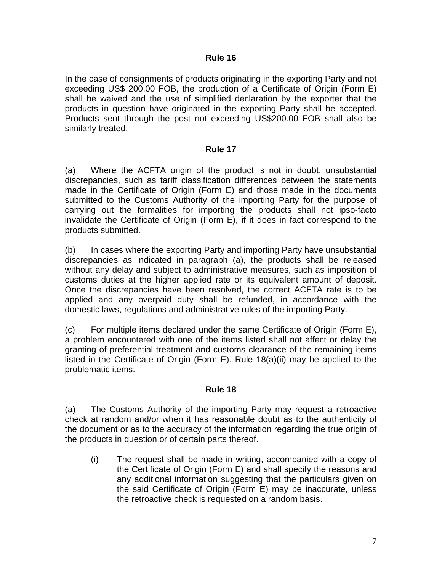In the case of consignments of products originating in the exporting Party and not exceeding US\$ 200.00 FOB, the production of a Certificate of Origin (Form E) shall be waived and the use of simplified declaration by the exporter that the products in question have originated in the exporting Party shall be accepted. Products sent through the post not exceeding US\$200.00 FOB shall also be similarly treated.

## **Rule 17**

(a) Where the ACFTA origin of the product is not in doubt, unsubstantial discrepancies, such as tariff classification differences between the statements made in the Certificate of Origin (Form E) and those made in the documents submitted to the Customs Authority of the importing Party for the purpose of carrying out the formalities for importing the products shall not ipso-facto invalidate the Certificate of Origin (Form E), if it does in fact correspond to the products submitted.

(b) In cases where the exporting Party and importing Party have unsubstantial discrepancies as indicated in paragraph (a), the products shall be released without any delay and subject to administrative measures, such as imposition of customs duties at the higher applied rate or its equivalent amount of deposit. Once the discrepancies have been resolved, the correct ACFTA rate is to be applied and any overpaid duty shall be refunded, in accordance with the domestic laws, regulations and administrative rules of the importing Party.

(c) For multiple items declared under the same Certificate of Origin (Form E), a problem encountered with one of the items listed shall not affect or delay the granting of preferential treatment and customs clearance of the remaining items listed in the Certificate of Origin (Form E). Rule 18(a)(ii) may be applied to the problematic items.

## **Rule 18**

(a) The Customs Authority of the importing Party may request a retroactive check at random and/or when it has reasonable doubt as to the authenticity of the document or as to the accuracy of the information regarding the true origin of the products in question or of certain parts thereof.

(i) The request shall be made in writing, accompanied with a copy of the Certificate of Origin (Form E) and shall specify the reasons and any additional information suggesting that the particulars given on the said Certificate of Origin (Form E) may be inaccurate, unless the retroactive check is requested on a random basis.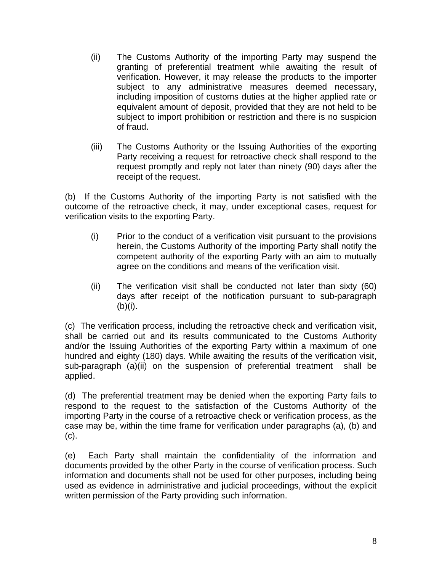- (ii) The Customs Authority of the importing Party may suspend the granting of preferential treatment while awaiting the result of verification. However, it may release the products to the importer subject to any administrative measures deemed necessary, including imposition of customs duties at the higher applied rate or equivalent amount of deposit, provided that they are not held to be subject to import prohibition or restriction and there is no suspicion of fraud.
- (iii) The Customs Authority or the Issuing Authorities of the exporting Party receiving a request for retroactive check shall respond to the request promptly and reply not later than ninety (90) days after the receipt of the request.

(b) If the Customs Authority of the importing Party is not satisfied with the outcome of the retroactive check, it may, under exceptional cases, request for verification visits to the exporting Party.

- (i) Prior to the conduct of a verification visit pursuant to the provisions herein, the Customs Authority of the importing Party shall notify the competent authority of the exporting Party with an aim to mutually agree on the conditions and means of the verification visit.
- (ii) The verification visit shall be conducted not later than sixty (60) days after receipt of the notification pursuant to sub-paragraph  $(b)(i)$ .

(c) The verification process, including the retroactive check and verification visit, shall be carried out and its results communicated to the Customs Authority and/or the Issuing Authorities of the exporting Party within a maximum of one hundred and eighty (180) days. While awaiting the results of the verification visit, sub-paragraph (a)(ii) on the suspension of preferential treatment shall be applied.

(d) The preferential treatment may be denied when the exporting Party fails to respond to the request to the satisfaction of the Customs Authority of the importing Party in the course of a retroactive check or verification process, as the case may be, within the time frame for verification under paragraphs (a), (b) and (c).

(e) Each Party shall maintain the confidentiality of the information and documents provided by the other Party in the course of verification process. Such information and documents shall not be used for other purposes, including being used as evidence in administrative and judicial proceedings, without the explicit written permission of the Party providing such information.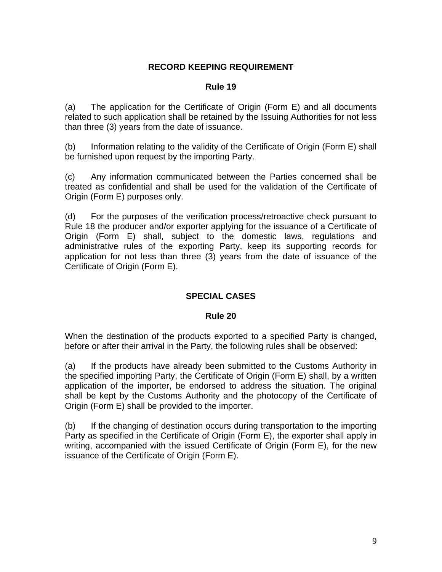# **RECORD KEEPING REQUIREMENT**

### **Rule 19**

(a) The application for the Certificate of Origin (Form E) and all documents related to such application shall be retained by the Issuing Authorities for not less than three (3) years from the date of issuance.

(b) Information relating to the validity of the Certificate of Origin (Form E) shall be furnished upon request by the importing Party.

(c) Any information communicated between the Parties concerned shall be treated as confidential and shall be used for the validation of the Certificate of Origin (Form E) purposes only.

(d) For the purposes of the verification process/retroactive check pursuant to Rule 18 the producer and/or exporter applying for the issuance of a Certificate of Origin (Form E) shall, subject to the domestic laws, regulations and administrative rules of the exporting Party, keep its supporting records for application for not less than three (3) years from the date of issuance of the Certificate of Origin (Form E).

# **SPECIAL CASES**

## **Rule 20**

When the destination of the products exported to a specified Party is changed, before or after their arrival in the Party, the following rules shall be observed:

(a) If the products have already been submitted to the Customs Authority in the specified importing Party, the Certificate of Origin (Form E) shall, by a written application of the importer, be endorsed to address the situation. The original shall be kept by the Customs Authority and the photocopy of the Certificate of Origin (Form E) shall be provided to the importer.

(b) If the changing of destination occurs during transportation to the importing Party as specified in the Certificate of Origin (Form E), the exporter shall apply in writing, accompanied with the issued Certificate of Origin (Form E), for the new issuance of the Certificate of Origin (Form E).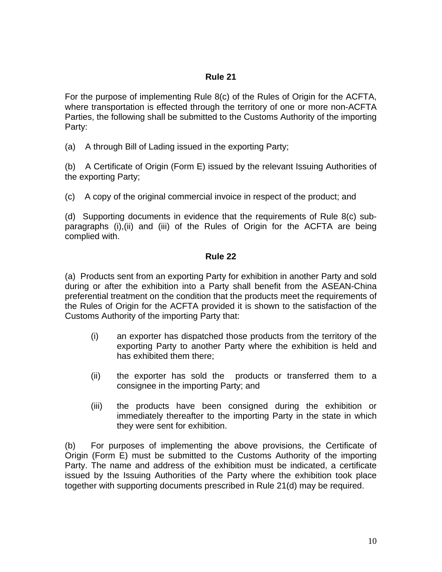For the purpose of implementing Rule 8(c) of the Rules of Origin for the ACFTA, where transportation is effected through the territory of one or more non-ACFTA Parties, the following shall be submitted to the Customs Authority of the importing Party:

(a) A through Bill of Lading issued in the exporting Party;

(b) A Certificate of Origin (Form E) issued by the relevant Issuing Authorities of the exporting Party;

(c) A copy of the original commercial invoice in respect of the product; and

(d) Supporting documents in evidence that the requirements of Rule 8(c) subparagraphs (i),(ii) and (iii) of the Rules of Origin for the ACFTA are being complied with.

# **Rule 22**

(a) Products sent from an exporting Party for exhibition in another Party and sold during or after the exhibition into a Party shall benefit from the ASEAN-China preferential treatment on the condition that the products meet the requirements of the Rules of Origin for the ACFTA provided it is shown to the satisfaction of the Customs Authority of the importing Party that:

- (i) an exporter has dispatched those products from the territory of the exporting Party to another Party where the exhibition is held and has exhibited them there;
- (ii) the exporter has sold the products or transferred them to a consignee in the importing Party; and
- (iii) the products have been consigned during the exhibition or immediately thereafter to the importing Party in the state in which they were sent for exhibition.

(b) For purposes of implementing the above provisions, the Certificate of Origin (Form E) must be submitted to the Customs Authority of the importing Party. The name and address of the exhibition must be indicated, a certificate issued by the Issuing Authorities of the Party where the exhibition took place together with supporting documents prescribed in Rule 21(d) may be required.